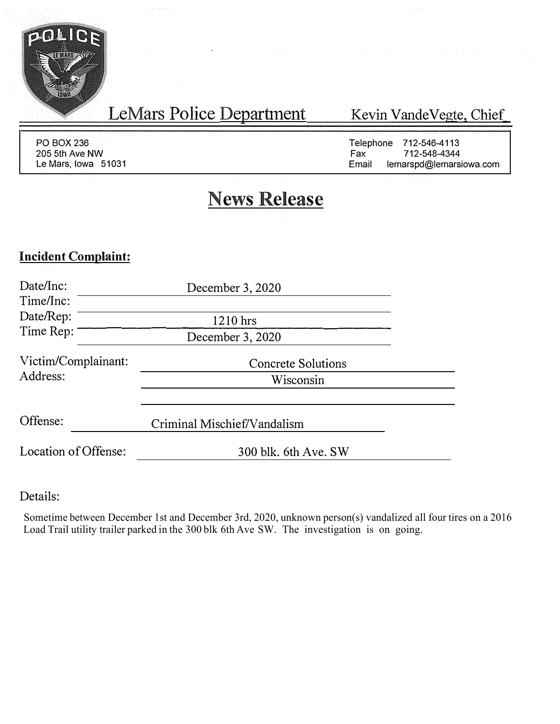

PO BOX236 205 5th Ave NW Le Mars, Iowa 51031

LeMars Police Department

## Kevin VandeVegte, Chief\_

Telephone 712-546-4113<br>Fax 712-548-4344 Fax 712-548-4344<br>Email lemarspd@lemars lemarspd@lemarsiowa.com

# **News Release**

## **Incident Complaint:**

| Date/Inc:<br>Time/Inc:          | December 3, 2020                       |  |
|---------------------------------|----------------------------------------|--|
| Date/Rep:                       | 1210 hrs                               |  |
| Time Rep:                       | December 3, 2020                       |  |
| Victim/Complainant:<br>Address: | <b>Concrete Solutions</b><br>Wisconsin |  |
| Offense:                        | Criminal Mischief/Vandalism            |  |
| Location of Offense:            | 300 blk. 6th Ave. SW                   |  |

Details:

Sometime between December 1st and December 3rd, 2020, unknown person(s) vandalized all four tires on a 2016 Load Trail utility trailer parked in the 300 blk 6th Ave SW. The investigation is on going.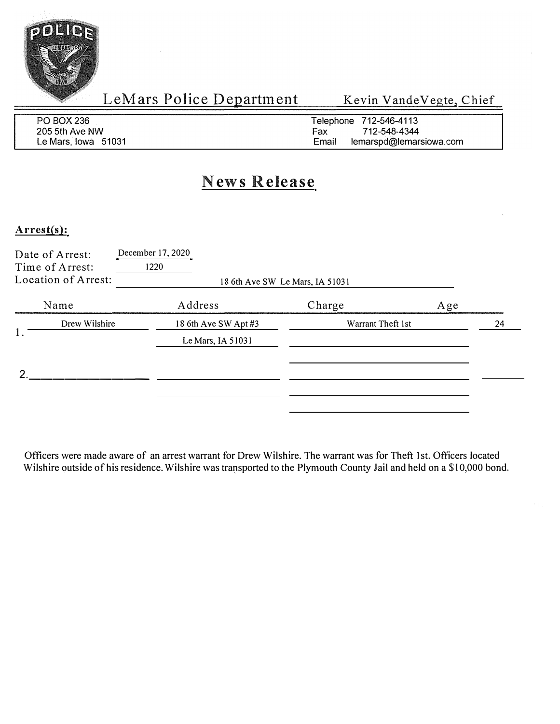

LeMars Police Department

Kevin VandeVegte, Chief

| PO BOX 236          | Telephone 712-546-4113           |
|---------------------|----------------------------------|
| 205 5th Ave NW      | 712-548-4344<br>Fax              |
| Le Mars, Iowa 51031 | lemarspd@lemarsiowa.com<br>Email |

## **News Release**

#### Arrest(s):

| Date of Arrest:<br>Time of Arrest:<br>Location of Arrest: | December 17, 2020<br>1220 | 18 6th Ave SW Le Mars, IA 51031 |     |  |
|-----------------------------------------------------------|---------------------------|---------------------------------|-----|--|
| Name                                                      | Address                   | Charge                          | Age |  |
| Drew Wilshire                                             | 18 6th Ave SW Apt #3      | Warrant Theft 1st               | 24  |  |
|                                                           | Le Mars, IA 51031         |                                 |     |  |
|                                                           |                           |                                 |     |  |
|                                                           |                           |                                 |     |  |

Officers were made aware of an arrest warrant for Drew Wilshire. The warrant was for Theft 1st. Officers located Wilshire outside of his residence. Wilshire was transported to the Plymouth County Jail and held on a \$ l 0,000 bond.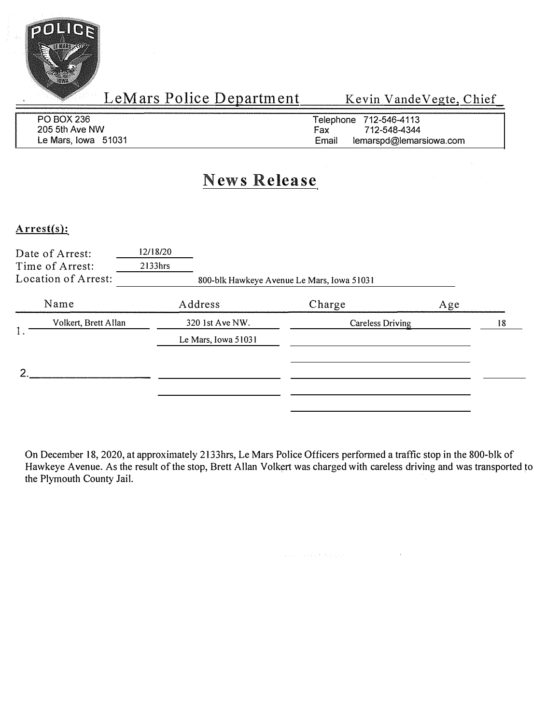

LeMars Police Department Kevin VandeVegte, Chief

| PO BOX 236          | Telephone 712-546-4113           |
|---------------------|----------------------------------|
| 205 5th Ave NW      | 712-548-4344<br>Fax              |
| Le Mars, Iowa 51031 | Email<br>lemarspd@lemarsiowa.com |

# **News Release**

### **Arrest(s):**

| Date of Arrest:<br>Time of Arrest:<br>Location of Arrest: | 12/18/20<br>2133hrs |                     | 800-blk Hawkeye Avenue Le Mars, Iowa 51031 |     |    |
|-----------------------------------------------------------|---------------------|---------------------|--------------------------------------------|-----|----|
| Name                                                      | Address             |                     | Charge                                     | Age |    |
| Volkert, Brett Allan                                      |                     | 320 1st Ave NW.     | Careless Driving                           |     | 18 |
|                                                           |                     | Le Mars, Iowa 51031 |                                            |     |    |
|                                                           |                     |                     |                                            |     |    |

On December 18, 2020, at approximately 2133hrs, Le Mars Police Officers performed a traffic stop in the 800-blk of Hawkeye Avenue. As the result of the stop, Brett Allan Volkert was charged with careless driving and was transported to the Plymouth County Jail.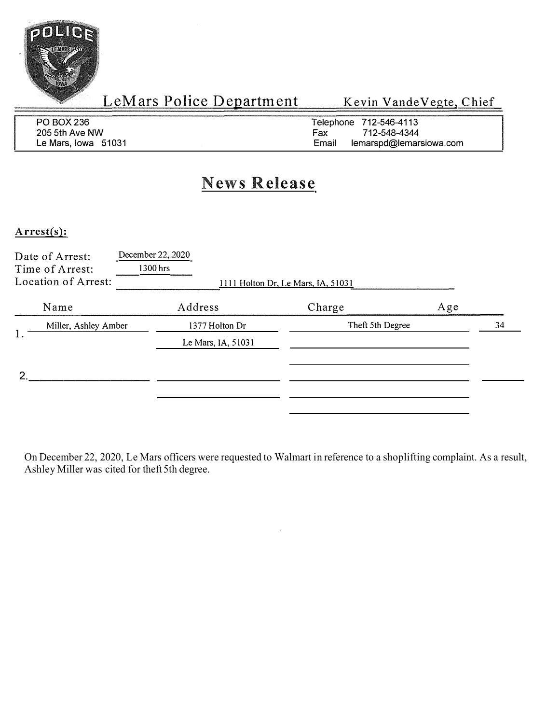

LeMars Police Department Kevin Vande Vegte, Chief

| PO BOX 236          | Telephone 712-546-4113           |
|---------------------|----------------------------------|
| 205 5th Ave NW      | 712-548-4344<br>Fax              |
| Le Mars. Iowa 51031 | Email<br>lemarspd@lemarsiowa.com |

# **News Release**

#### **Arrest(s):**

| Date of Arrest:<br>Time of Arrest:<br>Location of Arrest: | December 22, 2020<br>1300 hrs | 1111 Holton Dr, Le Mars, IA, 51031 |     |
|-----------------------------------------------------------|-------------------------------|------------------------------------|-----|
| Name                                                      | Address                       | Charge                             | Age |
| Miller, Ashley Amber<br>1.                                | 1377 Holton Dr                | Theft 5th Degree                   | 34  |
|                                                           | Le Mars, IA, 51031            |                                    |     |
| ◠                                                         |                               |                                    |     |
|                                                           |                               |                                    |     |
|                                                           |                               |                                    |     |

On December 22, 2020, Le Mars officers were requested to Walmart in reference to a shoplifting complaint. As a result, Ashley Miller was cited for theft 5th degree.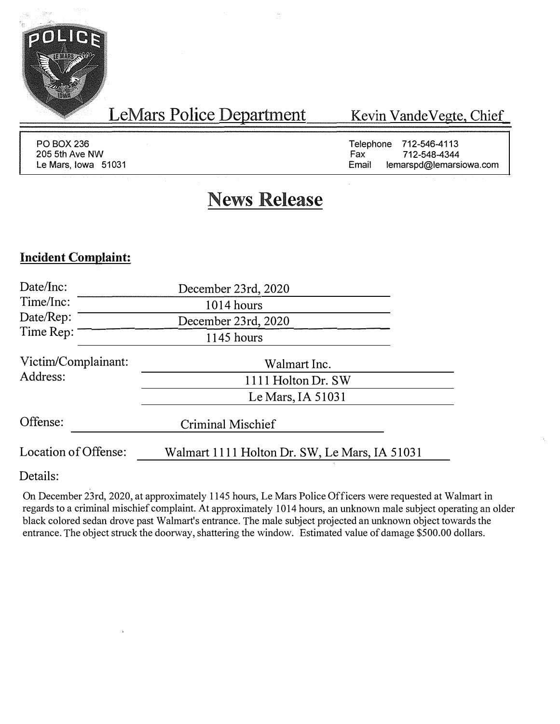

LeMars Police Department

Kevin VandeVegte, Chief\_

PO BOX 236 205 5th Ave NW Le Mars, Iowa 51031

Telephone 712-546-4113<br>Fax 712-548-4344 Fax 712-548-4344<br>Email lemarsod@lemarsi lemarspd@lemarsiowa.com

# **News Release**

### **Incident Complaint:**

| Date/Inc:            | December 23rd, 2020                           |
|----------------------|-----------------------------------------------|
| Time/Inc:            | 1014 hours                                    |
| Date/Rep:            | December 23rd, 2020                           |
| Time Rep:            | 1145 hours                                    |
| Victim/Complainant:  | Walmart Inc.                                  |
| Address:             | 1111 Holton Dr. SW                            |
|                      | Le Mars, IA $51031$                           |
| Offense:             | <b>Criminal Mischief</b>                      |
| Location of Offense: | Walmart 1111 Holton Dr. SW, Le Mars, IA 51031 |

Details:

On December 23rd, 2020, at approximately 1145 hours, Le Mars Police Officers were requested at Walmart in regards to a criminal mischief complaint. At approximately 1014 hours, an unknown male subject operating an older black colored sedan drove past Walmart's entrance. The male subject projected an unknown object towards the entrance. The object struck the doorway, shattering the window. Estimated value of damage \$500.00 dollars.